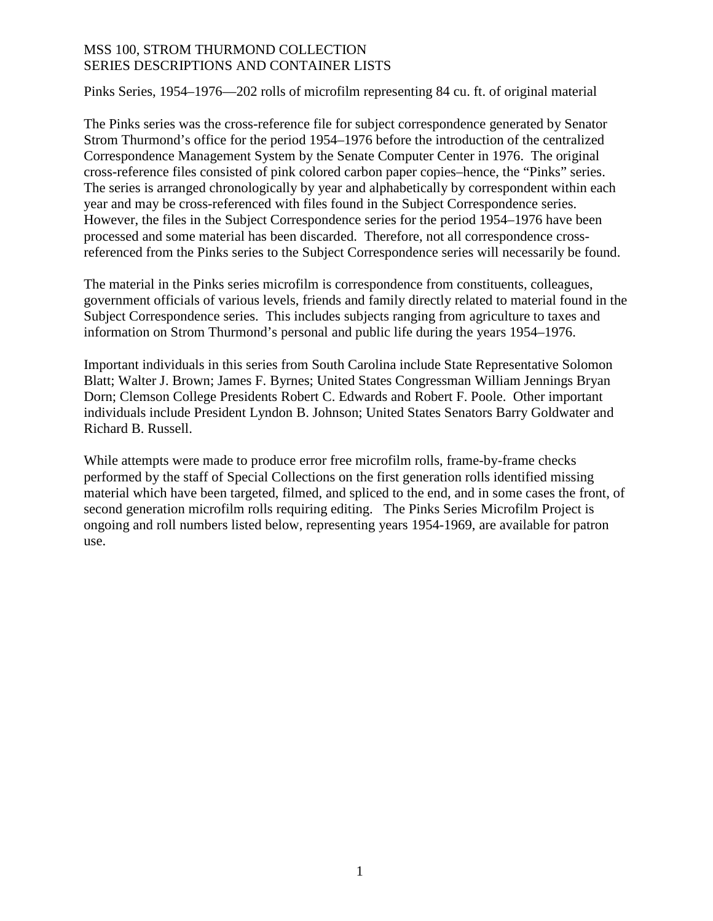Pinks Series, 1954–1976—202 rolls of microfilm representing 84 cu. ft. of original material

The Pinks series was the cross-reference file for subject correspondence generated by Senator Strom Thurmond's office for the period 1954–1976 before the introduction of the centralized Correspondence Management System by the Senate Computer Center in 1976. The original cross-reference files consisted of pink colored carbon paper copies–hence, the "Pinks" series. The series is arranged chronologically by year and alphabetically by correspondent within each year and may be cross-referenced with files found in the Subject Correspondence series. However, the files in the Subject Correspondence series for the period 1954–1976 have been processed and some material has been discarded. Therefore, not all correspondence crossreferenced from the Pinks series to the Subject Correspondence series will necessarily be found.

The material in the Pinks series microfilm is correspondence from constituents, colleagues, government officials of various levels, friends and family directly related to material found in the Subject Correspondence series. This includes subjects ranging from agriculture to taxes and information on Strom Thurmond's personal and public life during the years 1954–1976.

Important individuals in this series from South Carolina include State Representative Solomon Blatt; Walter J. Brown; James F. Byrnes; United States Congressman William Jennings Bryan Dorn; Clemson College Presidents Robert C. Edwards and Robert F. Poole. Other important individuals include President Lyndon B. Johnson; United States Senators Barry Goldwater and Richard B. Russell.

While attempts were made to produce error free microfilm rolls, frame-by-frame checks performed by the staff of Special Collections on the first generation rolls identified missing material which have been targeted, filmed, and spliced to the end, and in some cases the front, of second generation microfilm rolls requiring editing. The Pinks Series Microfilm Project is ongoing and roll numbers listed below, representing years 1954-1969, are available for patron use.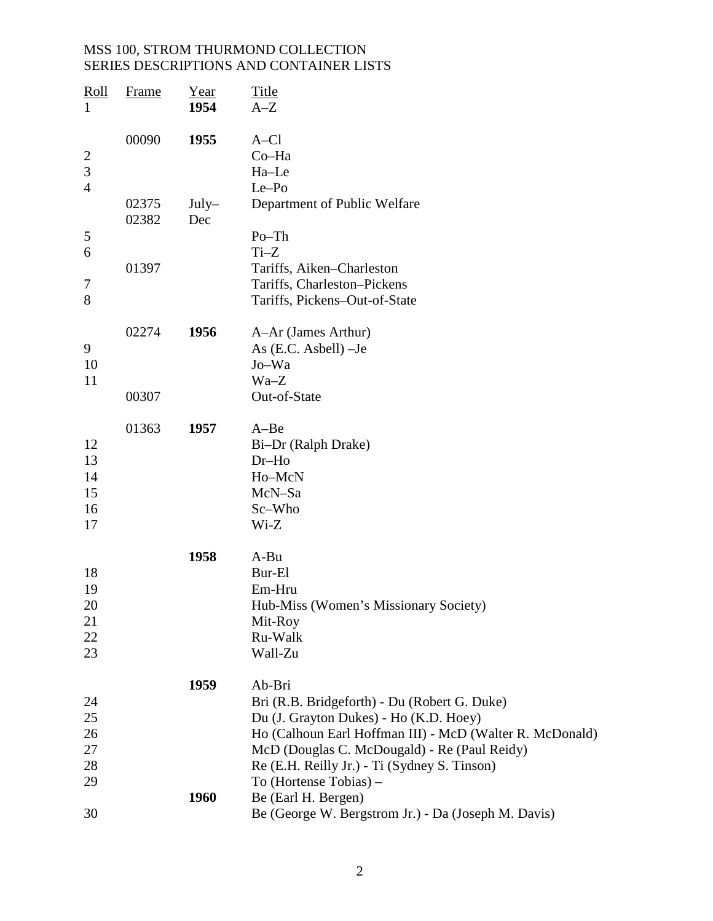| Roll<br>$\mathbf{1}$                  | <b>Frame</b>   | Year<br>1954   | <b>Title</b><br>$A-Z$                                                                                                                              |
|---------------------------------------|----------------|----------------|----------------------------------------------------------------------------------------------------------------------------------------------------|
| $\overline{2}$<br>3<br>$\overline{4}$ | 00090          | 1955           | $A-C1$<br>Co-Ha<br>Ha-Le<br>Le-Po                                                                                                                  |
|                                       | 02375<br>02382 | $July-$<br>Dec | Department of Public Welfare                                                                                                                       |
| 5<br>6                                |                |                | $Po$ -Th<br>$Ti-Z$                                                                                                                                 |
| 7<br>8                                | 01397          |                | Tariffs, Aiken-Charleston<br>Tariffs, Charleston-Pickens<br>Tariffs, Pickens-Out-of-State                                                          |
| 9<br>10<br>11                         | 02274          | 1956           | A-Ar (James Arthur)<br>As $(E.C. Asbell) –Je$<br>Jo-Wa<br>$Wa-Z$                                                                                   |
|                                       | 00307          |                | Out-of-State                                                                                                                                       |
| 12<br>13<br>14<br>15<br>16<br>17      | 01363          | 1957           | $A - Be$<br>Bi-Dr (Ralph Drake)<br>$Dr-Ho$<br>Ho-McN<br>McN-Sa<br>Sc-Who<br>$Wi-Z$                                                                 |
| 18                                    |                | 1958           | A-Bu<br>Bur-El                                                                                                                                     |
| 19<br>20<br>21                        |                |                | Em-Hru<br>Hub-Miss (Women's Missionary Society)<br>Mit-Roy                                                                                         |
| 22<br>23                              |                |                | Ru-Walk<br>Wall-Zu                                                                                                                                 |
| 24                                    |                | 1959           | Ab-Bri<br>Bri (R.B. Bridgeforth) - Du (Robert G. Duke)                                                                                             |
| 25<br>26<br>27                        |                |                | Du (J. Grayton Dukes) - Ho (K.D. Hoey)<br>Ho (Calhoun Earl Hoffman III) - McD (Walter R. McDonald)<br>McD (Douglas C. McDougald) - Re (Paul Reidy) |
| 28<br>29                              |                |                | Re (E.H. Reilly Jr.) - Ti (Sydney S. Tinson)<br>To (Hortense Tobias) –                                                                             |
| 30                                    |                | 1960           | Be (Earl H. Bergen)<br>Be (George W. Bergstrom Jr.) - Da (Joseph M. Davis)                                                                         |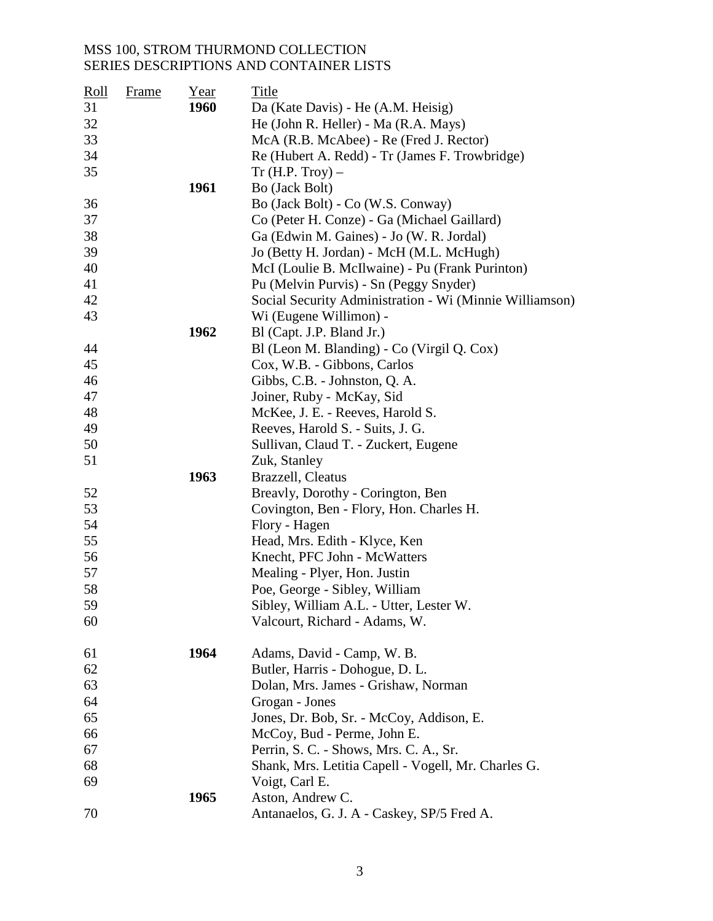| <b>Roll</b> | <b>Frame</b> | Year | Title                                                   |
|-------------|--------------|------|---------------------------------------------------------|
| 31          |              | 1960 | Da (Kate Davis) - He (A.M. Heisig)                      |
| 32          |              |      | He (John R. Heller) - Ma (R.A. Mays)                    |
| 33          |              |      | McA (R.B. McAbee) - Re (Fred J. Rector)                 |
| 34          |              |      | Re (Hubert A. Redd) - Tr (James F. Trowbridge)          |
| 35          |              |      | Tr(H.P. Troy) –                                         |
|             |              | 1961 | Bo (Jack Bolt)                                          |
| 36          |              |      | Bo (Jack Bolt) - Co (W.S. Conway)                       |
| 37          |              |      | Co (Peter H. Conze) - Ga (Michael Gaillard)             |
| 38          |              |      | Ga (Edwin M. Gaines) - Jo (W. R. Jordal)                |
| 39          |              |      | Jo (Betty H. Jordan) - McH (M.L. McHugh)                |
| 40          |              |      | McI (Loulie B. McIlwaine) - Pu (Frank Purinton)         |
| 41          |              |      | Pu (Melvin Purvis) - Sn (Peggy Snyder)                  |
| 42          |              |      | Social Security Administration - Wi (Minnie Williamson) |
| 43          |              |      | Wi (Eugene Willimon) -                                  |
|             |              | 1962 | Bl (Capt. J.P. Bland Jr.)                               |
| 44          |              |      | Bl (Leon M. Blanding) - Co (Virgil Q. Cox)              |
| 45          |              |      | Cox, W.B. - Gibbons, Carlos                             |
| 46          |              |      | Gibbs, C.B. - Johnston, Q.A.                            |
| 47          |              |      | Joiner, Ruby - McKay, Sid                               |
| 48          |              |      | McKee, J. E. - Reeves, Harold S.                        |
| 49          |              |      | Reeves, Harold S. - Suits, J. G.                        |
| 50          |              |      | Sullivan, Claud T. - Zuckert, Eugene                    |
| 51          |              |      | Zuk, Stanley                                            |
|             |              | 1963 | Brazzell, Cleatus                                       |
| 52          |              |      | Breavly, Dorothy - Corington, Ben                       |
| 53          |              |      | Covington, Ben - Flory, Hon. Charles H.                 |
| 54          |              |      | Flory - Hagen                                           |
| 55          |              |      | Head, Mrs. Edith - Klyce, Ken                           |
| 56          |              |      | Knecht, PFC John - McWatters                            |
| 57          |              |      | Mealing - Plyer, Hon. Justin                            |
| 58          |              |      | Poe, George - Sibley, William                           |
| 59          |              |      | Sibley, William A.L. - Utter, Lester W.                 |
| 60          |              |      | Valcourt, Richard - Adams, W.                           |
| 61          |              | 1964 | Adams, David - Camp, W. B.                              |
| 62          |              |      | Butler, Harris - Dohogue, D. L.                         |
| 63          |              |      | Dolan, Mrs. James - Grishaw, Norman                     |
| 64          |              |      | Grogan - Jones                                          |
| 65          |              |      | Jones, Dr. Bob, Sr. - McCoy, Addison, E.                |
| 66          |              |      | McCoy, Bud - Perme, John E.                             |
| 67          |              |      | Perrin, S. C. - Shows, Mrs. C. A., Sr.                  |
| 68          |              |      | Shank, Mrs. Letitia Capell - Vogell, Mr. Charles G.     |
| 69          |              |      | Voigt, Carl E.                                          |
|             |              | 1965 | Aston, Andrew C.                                        |
| 70          |              |      | Antanaelos, G. J. A - Caskey, SP/5 Fred A.              |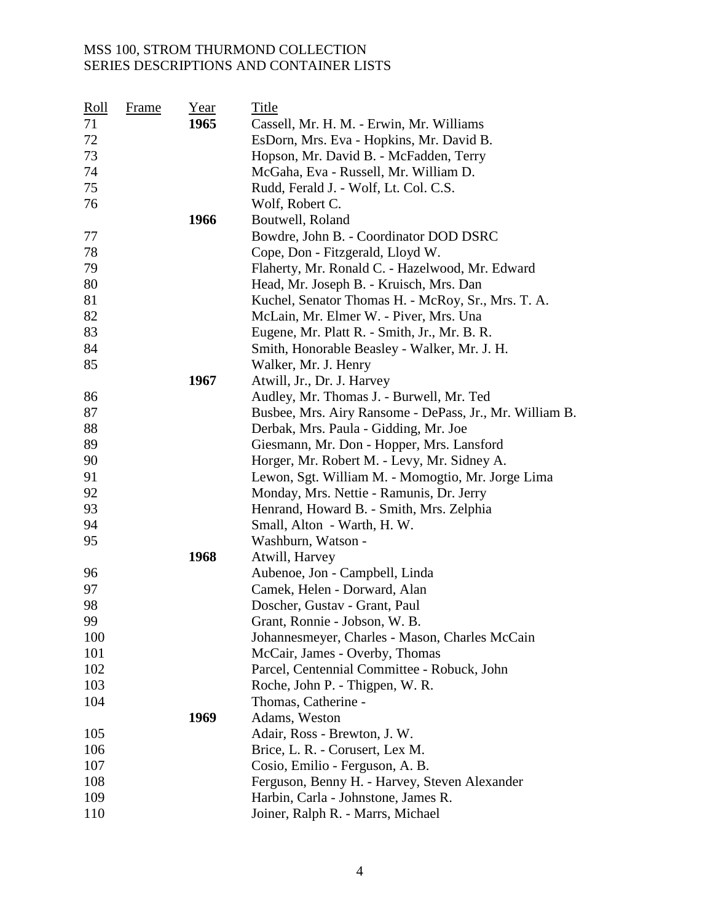| <u>Roll</u> | <u>Frame</u> | Year | Title                                                   |
|-------------|--------------|------|---------------------------------------------------------|
| 71          |              | 1965 | Cassell, Mr. H. M. - Erwin, Mr. Williams                |
| 72          |              |      | EsDorn, Mrs. Eva - Hopkins, Mr. David B.                |
| 73          |              |      | Hopson, Mr. David B. - McFadden, Terry                  |
| 74          |              |      | McGaha, Eva - Russell, Mr. William D.                   |
| 75          |              |      | Rudd, Ferald J. - Wolf, Lt. Col. C.S.                   |
| 76          |              |      | Wolf, Robert C.                                         |
|             |              | 1966 | Boutwell, Roland                                        |
| 77          |              |      | Bowdre, John B. - Coordinator DOD DSRC                  |
| 78          |              |      | Cope, Don - Fitzgerald, Lloyd W.                        |
| 79          |              |      | Flaherty, Mr. Ronald C. - Hazelwood, Mr. Edward         |
| 80          |              |      | Head, Mr. Joseph B. - Kruisch, Mrs. Dan                 |
| 81          |              |      | Kuchel, Senator Thomas H. - McRoy, Sr., Mrs. T. A.      |
| 82          |              |      | McLain, Mr. Elmer W. - Piver, Mrs. Una                  |
| 83          |              |      | Eugene, Mr. Platt R. - Smith, Jr., Mr. B. R.            |
| 84          |              |      | Smith, Honorable Beasley - Walker, Mr. J. H.            |
| 85          |              |      | Walker, Mr. J. Henry                                    |
|             |              | 1967 | Atwill, Jr., Dr. J. Harvey                              |
| 86          |              |      | Audley, Mr. Thomas J. - Burwell, Mr. Ted                |
| 87          |              |      | Busbee, Mrs. Airy Ransome - DePass, Jr., Mr. William B. |
| 88          |              |      | Derbak, Mrs. Paula - Gidding, Mr. Joe                   |
| 89          |              |      | Giesmann, Mr. Don - Hopper, Mrs. Lansford               |
| 90          |              |      | Horger, Mr. Robert M. - Levy, Mr. Sidney A.             |
| 91          |              |      | Lewon, Sgt. William M. - Momogtio, Mr. Jorge Lima       |
| 92          |              |      | Monday, Mrs. Nettie - Ramunis, Dr. Jerry                |
| 93          |              |      | Henrand, Howard B. - Smith, Mrs. Zelphia                |
| 94          |              |      | Small, Alton - Warth, H. W.                             |
| 95          |              |      | Washburn, Watson -                                      |
|             |              | 1968 | Atwill, Harvey                                          |
| 96          |              |      | Aubenoe, Jon - Campbell, Linda                          |
| 97          |              |      | Camek, Helen - Dorward, Alan                            |
| 98          |              |      | Doscher, Gustav - Grant, Paul                           |
| 99          |              |      | Grant, Ronnie - Jobson, W. B.                           |
| 100         |              |      | Johannesmeyer, Charles - Mason, Charles McCain          |
| 101         |              |      | McCair, James - Overby, Thomas                          |
| 102         |              |      | Parcel, Centennial Committee - Robuck, John             |
| 103         |              |      | Roche, John P. - Thigpen, W. R.                         |
| 104         |              |      | Thomas, Catherine -                                     |
|             |              | 1969 | Adams, Weston                                           |
| 105         |              |      | Adair, Ross - Brewton, J. W.                            |
| 106         |              |      | Brice, L. R. - Corusert, Lex M.                         |
| 107         |              |      | Cosio, Emilio - Ferguson, A. B.                         |
| 108         |              |      | Ferguson, Benny H. - Harvey, Steven Alexander           |
| 109         |              |      | Harbin, Carla - Johnstone, James R.                     |
| 110         |              |      | Joiner, Ralph R. - Marrs, Michael                       |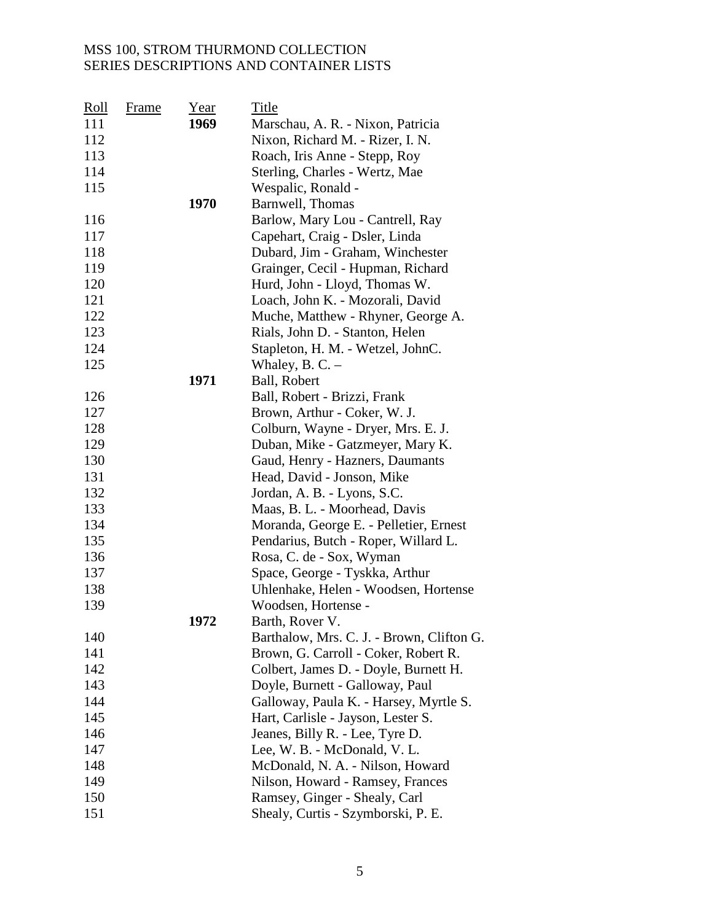| <u>Roll</u> | Frame | Year | Title                                     |
|-------------|-------|------|-------------------------------------------|
| 111         |       | 1969 | Marschau, A. R. - Nixon, Patricia         |
| 112         |       |      | Nixon, Richard M. - Rizer, I. N.          |
| 113         |       |      | Roach, Iris Anne - Stepp, Roy             |
| 114         |       |      | Sterling, Charles - Wertz, Mae            |
| 115         |       |      | Wespalic, Ronald -                        |
|             |       | 1970 | Barnwell, Thomas                          |
| 116         |       |      | Barlow, Mary Lou - Cantrell, Ray          |
| 117         |       |      | Capehart, Craig - Dsler, Linda            |
| 118         |       |      | Dubard, Jim - Graham, Winchester          |
| 119         |       |      | Grainger, Cecil - Hupman, Richard         |
| 120         |       |      | Hurd, John - Lloyd, Thomas W.             |
| 121         |       |      | Loach, John K. - Mozorali, David          |
| 122         |       |      | Muche, Matthew - Rhyner, George A.        |
| 123         |       |      | Rials, John D. - Stanton, Helen           |
| 124         |       |      | Stapleton, H. M. - Wetzel, JohnC.         |
| 125         |       |      | Whaley, B. C. $-$                         |
|             |       | 1971 | Ball, Robert                              |
| 126         |       |      | Ball, Robert - Brizzi, Frank              |
| 127         |       |      | Brown, Arthur - Coker, W. J.              |
| 128         |       |      | Colburn, Wayne - Dryer, Mrs. E. J.        |
| 129         |       |      | Duban, Mike - Gatzmeyer, Mary K.          |
| 130         |       |      | Gaud, Henry - Hazners, Daumants           |
| 131         |       |      | Head, David - Jonson, Mike                |
| 132         |       |      | Jordan, A. B. - Lyons, S.C.               |
| 133         |       |      | Maas, B. L. - Moorhead, Davis             |
| 134         |       |      | Moranda, George E. - Pelletier, Ernest    |
| 135         |       |      | Pendarius, Butch - Roper, Willard L.      |
| 136         |       |      | Rosa, C. de - Sox, Wyman                  |
| 137         |       |      | Space, George - Tyskka, Arthur            |
| 138         |       |      | Uhlenhake, Helen - Woodsen, Hortense      |
| 139         |       |      | Woodsen, Hortense -                       |
|             |       | 1972 | Barth, Rover V.                           |
| 140         |       |      | Barthalow, Mrs. C. J. - Brown, Clifton G. |
| 141         |       |      | Brown, G. Carroll - Coker, Robert R.      |
| 142         |       |      | Colbert, James D. - Doyle, Burnett H.     |
| 143         |       |      | Doyle, Burnett - Galloway, Paul           |
| 144         |       |      | Galloway, Paula K. - Harsey, Myrtle S.    |
| 145         |       |      | Hart, Carlisle - Jayson, Lester S.        |
| 146         |       |      | Jeanes, Billy R. - Lee, Tyre D.           |
| 147         |       |      | Lee, W. B. - McDonald, V. L.              |
| 148         |       |      | McDonald, N. A. - Nilson, Howard          |
| 149         |       |      | Nilson, Howard - Ramsey, Frances          |
| 150         |       |      | Ramsey, Ginger - Shealy, Carl             |
| 151         |       |      | Shealy, Curtis - Szymborski, P. E.        |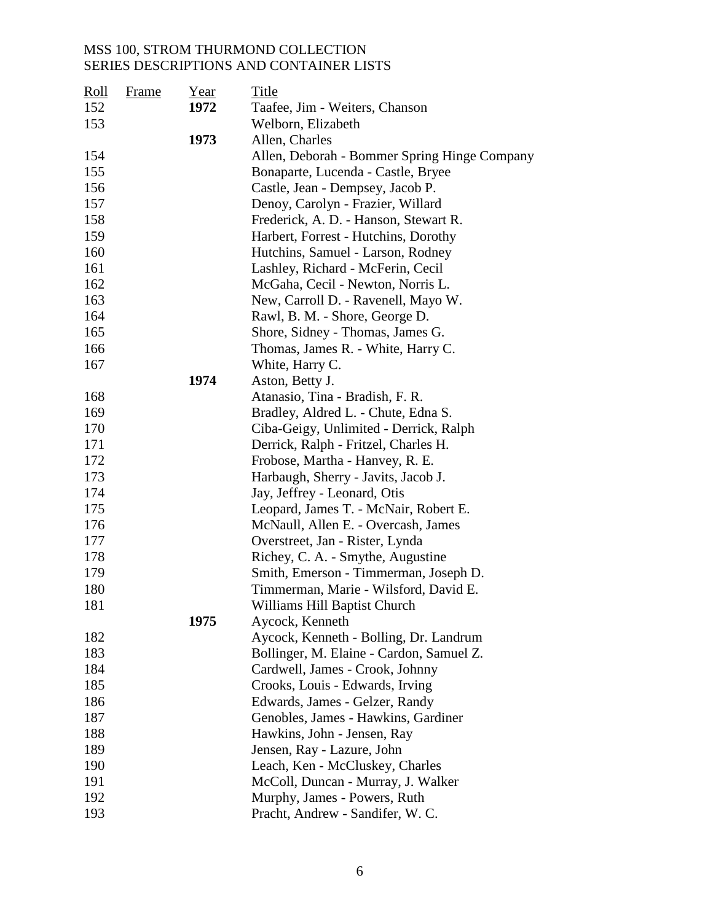| $\frac{\text{Roll}}{\text{Roll}}$ | <b>Frame</b> | Year | <b>Title</b>                                 |
|-----------------------------------|--------------|------|----------------------------------------------|
| 152                               |              | 1972 | Taafee, Jim - Weiters, Chanson               |
| 153                               |              |      | Welborn, Elizabeth                           |
|                                   |              | 1973 | Allen, Charles                               |
| 154                               |              |      | Allen, Deborah - Bommer Spring Hinge Company |
| 155                               |              |      | Bonaparte, Lucenda - Castle, Bryee           |
| 156                               |              |      | Castle, Jean - Dempsey, Jacob P.             |
| 157                               |              |      | Denoy, Carolyn - Frazier, Willard            |
| 158                               |              |      | Frederick, A. D. - Hanson, Stewart R.        |
| 159                               |              |      | Harbert, Forrest - Hutchins, Dorothy         |
| 160                               |              |      | Hutchins, Samuel - Larson, Rodney            |
| 161                               |              |      | Lashley, Richard - McFerin, Cecil            |
| 162                               |              |      | McGaha, Cecil - Newton, Norris L.            |
| 163                               |              |      | New, Carroll D. - Ravenell, Mayo W.          |
| 164                               |              |      | Rawl, B. M. - Shore, George D.               |
| 165                               |              |      | Shore, Sidney - Thomas, James G.             |
| 166                               |              |      | Thomas, James R. - White, Harry C.           |
| 167                               |              |      | White, Harry C.                              |
|                                   |              | 1974 | Aston, Betty J.                              |
| 168                               |              |      | Atanasio, Tina - Bradish, F. R.              |
| 169                               |              |      | Bradley, Aldred L. - Chute, Edna S.          |
| 170                               |              |      | Ciba-Geigy, Unlimited - Derrick, Ralph       |
| 171                               |              |      | Derrick, Ralph - Fritzel, Charles H.         |
| 172                               |              |      | Frobose, Martha - Hanvey, R. E.              |
| 173                               |              |      | Harbaugh, Sherry - Javits, Jacob J.          |
| 174                               |              |      | Jay, Jeffrey - Leonard, Otis                 |
| 175                               |              |      | Leopard, James T. - McNair, Robert E.        |
| 176                               |              |      | McNaull, Allen E. - Overcash, James          |
| 177                               |              |      | Overstreet, Jan - Rister, Lynda              |
| 178                               |              |      | Richey, C. A. - Smythe, Augustine            |
| 179                               |              |      | Smith, Emerson - Timmerman, Joseph D.        |
| 180                               |              |      | Timmerman, Marie - Wilsford, David E.        |
| 181                               |              |      | Williams Hill Baptist Church                 |
|                                   |              | 1975 | Aycock, Kenneth                              |
| 182                               |              |      | Aycock, Kenneth - Bolling, Dr. Landrum       |
| 183                               |              |      | Bollinger, M. Elaine - Cardon, Samuel Z.     |
| 184                               |              |      | Cardwell, James - Crook, Johnny              |
| 185                               |              |      | Crooks, Louis - Edwards, Irving              |
| 186                               |              |      | Edwards, James - Gelzer, Randy               |
| 187                               |              |      | Genobles, James - Hawkins, Gardiner          |
| 188                               |              |      | Hawkins, John - Jensen, Ray                  |
| 189                               |              |      | Jensen, Ray - Lazure, John                   |
| 190                               |              |      | Leach, Ken - McCluskey, Charles              |
| 191                               |              |      | McColl, Duncan - Murray, J. Walker           |
| 192                               |              |      | Murphy, James - Powers, Ruth                 |
| 193                               |              |      | Pracht, Andrew - Sandifer, W. C.             |